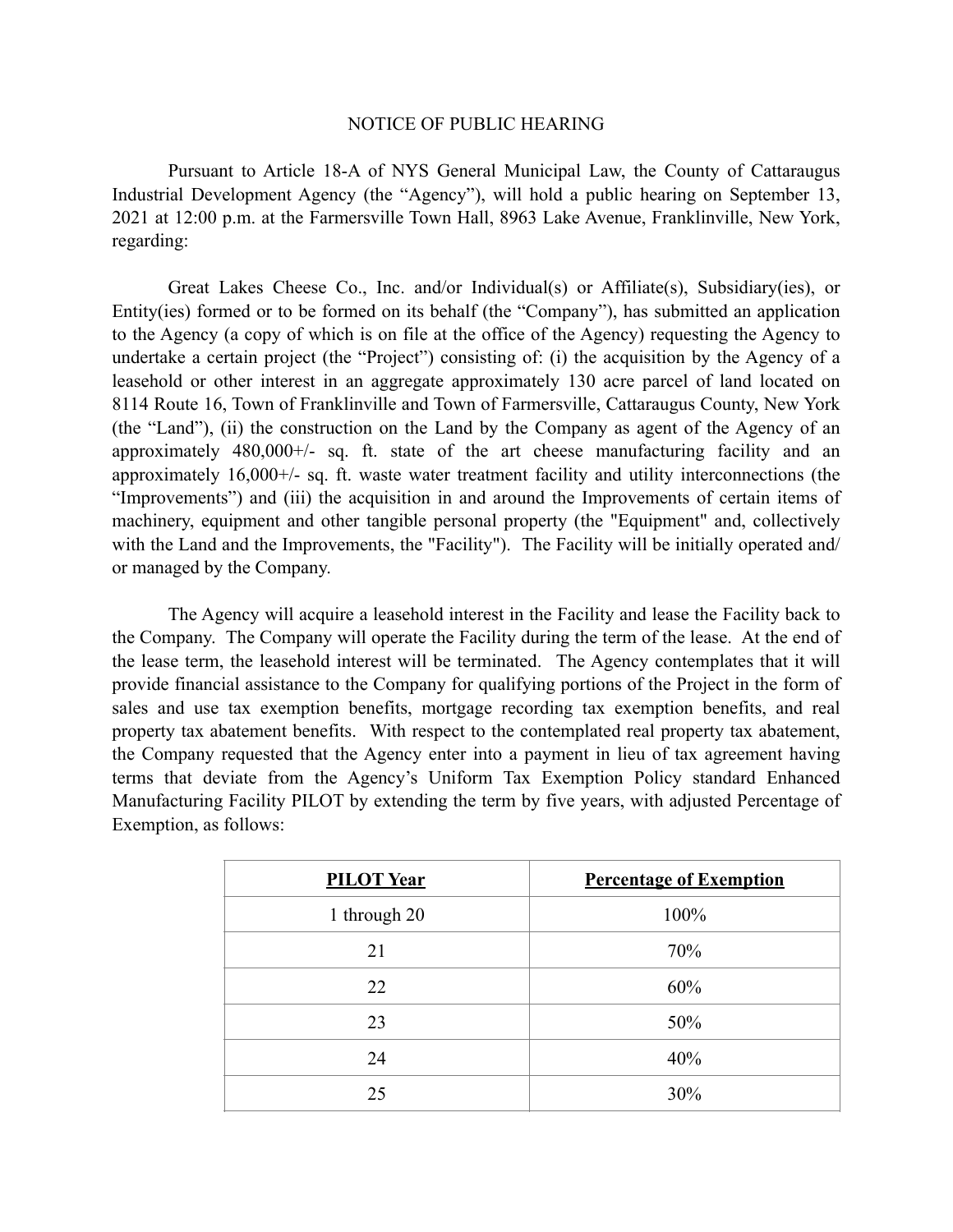## NOTICE OF PUBLIC HEARING

Pursuant to Article 18-A of NYS General Municipal Law, the County of Cattaraugus Industrial Development Agency (the "Agency"), will hold a public hearing on September 13, 2021 at 12:00 p.m. at the Farmersville Town Hall, 8963 Lake Avenue, Franklinville, New York, regarding:

Great Lakes Cheese Co., Inc. and/or Individual(s) or Affiliate(s), Subsidiary(ies), or Entity(ies) formed or to be formed on its behalf (the "Company"), has submitted an application to the Agency (a copy of which is on file at the office of the Agency) requesting the Agency to undertake a certain project (the "Project") consisting of: (i) the acquisition by the Agency of a leasehold or other interest in an aggregate approximately 130 acre parcel of land located on 8114 Route 16, Town of Franklinville and Town of Farmersville, Cattaraugus County, New York (the "Land"), (ii) the construction on the Land by the Company as agent of the Agency of an approximately 480,000+/- sq. ft. state of the art cheese manufacturing facility and an approximately 16,000+/- sq. ft. waste water treatment facility and utility interconnections (the "Improvements") and (iii) the acquisition in and around the Improvements of certain items of machinery, equipment and other tangible personal property (the "Equipment" and, collectively with the Land and the Improvements, the "Facility"). The Facility will be initially operated and/ or managed by the Company.

The Agency will acquire a leasehold interest in the Facility and lease the Facility back to the Company. The Company will operate the Facility during the term of the lease. At the end of the lease term, the leasehold interest will be terminated. The Agency contemplates that it will provide financial assistance to the Company for qualifying portions of the Project in the form of sales and use tax exemption benefits, mortgage recording tax exemption benefits, and real property tax abatement benefits. With respect to the contemplated real property tax abatement, the Company requested that the Agency enter into a payment in lieu of tax agreement having terms that deviate from the Agency's Uniform Tax Exemption Policy standard Enhanced Manufacturing Facility PILOT by extending the term by five years, with adjusted Percentage of Exemption, as follows:

| <b>PILOT Year</b> | <b>Percentage of Exemption</b> |
|-------------------|--------------------------------|
| 1 through 20      | 100%                           |
| 21                | 70%                            |
| 22                | 60%                            |
| 23                | 50%                            |
| 24                | 40%                            |
| 25                | 30%                            |